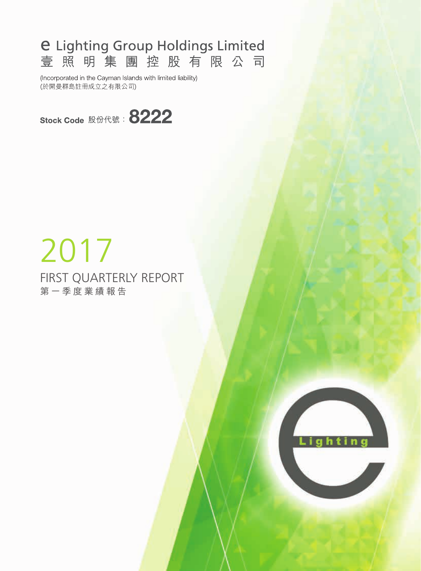# **e Lighting Group Holdings Limited** 壹照明集團控股有限公司

(Incorporated in the Cayman Islands with limited liability) (於開曼群島註冊成立之有限公司)



# FIRST QUARTERLY REPORT 第一季度業績報告 2017

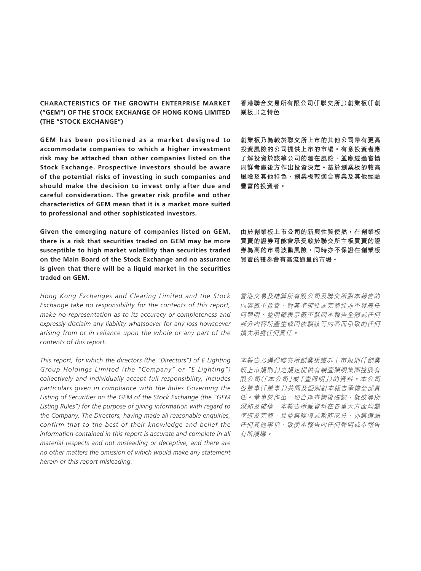#### **CHARACTERISTICS OF THE GROWTH ENTERPRISE MARKET ("GEM") OF THE STOCK EXCHANGE OF HONG KONG LIMITED (THE "STOCK EXCHANGE")**

**GEM has been positioned as a market designed to accommodate companies to which a higher investment risk may be attached than other companies listed on the Stock Exchange. Prospective investors should be aware of the potential risks of investing in such companies and should make the decision to invest only after due and careful consideration. The greater risk profile and other characteristics of GEM mean that it is a market more suited to professional and other sophisticated investors.**

**Given the emerging nature of companies listed on GEM, there is a risk that securities traded on GEM may be more susceptible to high market volatility than securities traded on the Main Board of the Stock Exchange and no assurance is given that there will be a liquid market in the securities traded on GEM.**

*Hong Kong Exchanges and Clearing Limited and the Stock Exchange take no responsibility for the contents of this report, make no representation as to its accuracy or completeness and expressly disclaim any liability whatsoever for any loss howsoever arising from or in reliance upon the whole or any part of the contents of this report.*

*This report, for which the directors (the "Directors") of E Lighting Group Holdings Limited (the "Company" or "E Lighting") collectively and individually accept full responsibility, includes particulars given in compliance with the Rules Governing the Listing of Securities on the GEM of the Stock Exchange (the "GEM Listing Rules") for the purpose of giving information with regard to the Company. The Directors, having made all reasonable enquiries, confirm that to the best of their knowledge and belief the information contained in this report is accurate and complete in all material respects and not misleading or deceptive, and there are no other matters the omission of which would make any statement herein or this report misleading.*

**香港聯合交易所有限公司(「聯交所」)創業板(「創 業板」)之特色**

**創業板乃為較於聯交所上市的其他公司帶有更高 投資風險的公司提供上市的市場。有意投資者應 了解投資於該等公司的潛在風險,並應經過審慎 周詳考慮後方作出投資決定。基於創業板的較高 風險及其他特色,創業板較適合專業及其他經驗 豐富的投資者。**

**由於創業板上市公司的新興性質使然,在創業板 買賣的證券可能會承受較於聯交所主板買賣的證 券為高的市場波動風險,同時亦不保證在創業板 買賣的證券會有高流通量的市場。**

香港交易及結算所有限公司及聯交所對本報告的 內容概不負責,對其準確性或完整性亦不發表任 何聲明,並明確表示概不就因本報告全部或任何 部分內容所產生或因依賴該等內容而引致的任何 損失承擔任何責任。

本報告乃遵照聯交所創業板證券上市規則(「創業 板上市規則」)之規定提供有關壹照明集團控股有 限公司(「本公司」或「壹照明」)的資料。本公司 各董事(「董事」)共同及個別對本報告承擔全部責 任。董事於作出一切合理查詢後確認,就彼等所 深知及確信,本報告所載資料在各重大方面均屬 準確及完整,且並無誤導或欺詐成分,亦無遺漏 任何其他事項,致使本報告內任何聲明或本報告 有所誤導。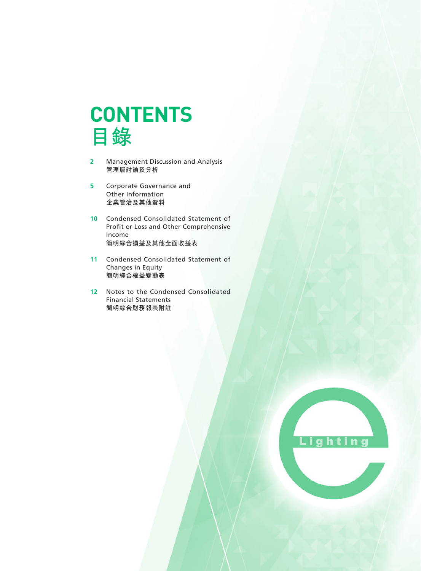

- **2** Management Discussion and Analysis **管理層討論及分析**
- **5** Corporate Governance and Other Information **企業管治及其他資料**
- **10** Condensed Consolidated Statement of Profit or Loss and Other Comprehensive Income **簡明綜合損益及其他全面收益表**
- **11** Condensed Consolidated Statement of Changes in Equity **簡明綜合權益變動表**
- **12** Notes to the Condensed Consolidated Financial Statements **簡明綜合財務報表附註**

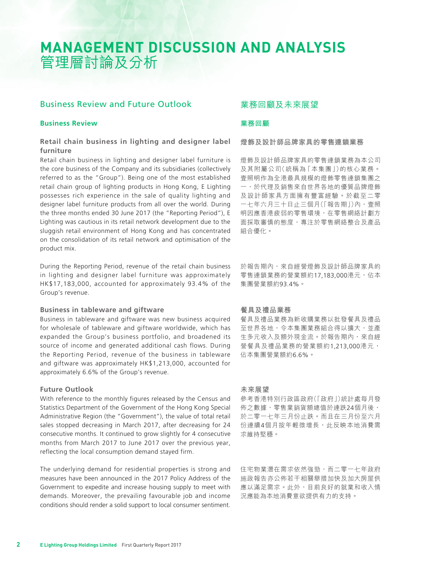# **MANAGEMENT DISCUSSION AND ANALYSIS** 管理層討論及分析

### Business Review and Future Outlook

#### **Business Review**

#### **Retail chain business in lighting and designer label furniture**

Retail chain business in lighting and designer label furniture is the core business of the Company and its subsidiaries (collectively referred to as the "Group"). Being one of the most established retail chain group of lighting products in Hong Kong, E Lighting possesses rich experience in the sale of quality lighting and designer label furniture products from all over the world. During the three months ended 30 June 2017 (the "Reporting Period"), E Lighting was cautious in its retail network development due to the sluggish retail environment of Hong Kong and has concentrated on the consolidation of its retail network and optimisation of the product mix.

During the Reporting Period, revenue of the retail chain business in lighting and designer label furniture was approximately HK\$17,183,000, accounted for approximately 93.4% of the Group's revenue.

#### **Business in tableware and giftware**

Business in tableware and giftware was new business acquired for wholesale of tableware and giftware worldwide, which has expanded the Group's business portfolio, and broadened its source of income and generated additional cash flows. During the Reporting Period, revenue of the business in tableware and giftware was approximately HK\$1,213,000, accounted for approximately 6.6% of the Group's revenue.

#### **Future Outlook**

With reference to the monthly figures released by the Census and Statistics Department of the Government of the Hong Kong Special Administrative Region (the "Government"), the value of total retail sales stopped decreasing in March 2017, after decreasing for 24 consecutive months. It continued to grow slightly for 4 consecutive months from March 2017 to June 2017 over the previous year, reflecting the local consumption demand stayed firm.

The underlying demand for residential properties is strong and measures have been announced in the 2017 Policy Address of the Government to expedite and increase housing supply to meet with demands. Moreover, the prevailing favourable job and income conditions should render a solid support to local consumer sentiment.

# 業務回顧及未來展望

#### **業務回顧**

**燈飾及設計師品牌家具的零售連鎖業務**

燈飾及設計師品牌家具的零售連鎖業務為本公司 及其附屬公司(統稱為「本集團」)的核心業務。 壹照明作為全港最具規模的燈飾零售連鎖集團之 一,於代理及銷售來自世界各地的優質品牌燈飾 及設計師家具方面擁有豐富經驗。於截至二零 一七年六月三十日止三個月(「報告期」)內,壹照 明因應香港疲弱的零售環境,在零售網絡計劃方 面採取審慎的態度,專注於零售網絡整合及產品 組合優化。

於報告期內,來自經營燈飾及設計師品牌家具的 零售連鎖業務的營業額約17,183,000港元,佔本 集團營業額約93.4%。

#### **餐具及禮品業務**

餐具及禮品業務為新收購業務以批發餐具及禮品 至世界各地,令本集團業務組合得以擴大,並產 生多元收入及額外現金流。於報告期內,來自經 營餐具及禮品業務的營業額約1,213,000港元, 佔本集團營業額約6.6%。

#### **未來展望**

參考香港特別行政區政府(「政府」)統計處每月發 佈之數據,零售業銷貨額總值於連跌24個月後, 於二零一七年三月份止跌。而且在三月份至六月 份連續4個月按年輕微增長,此反映本地消費需 求維持堅穩。

住宅物業潛在需求依然強勁,而二零一七年政府 施政報告亦公佈若干相關舉措加快及加大房屋供 應以滿足需求。此外,目前良好的就業和收入情 況應能為本地消費意欲提供有力的支持。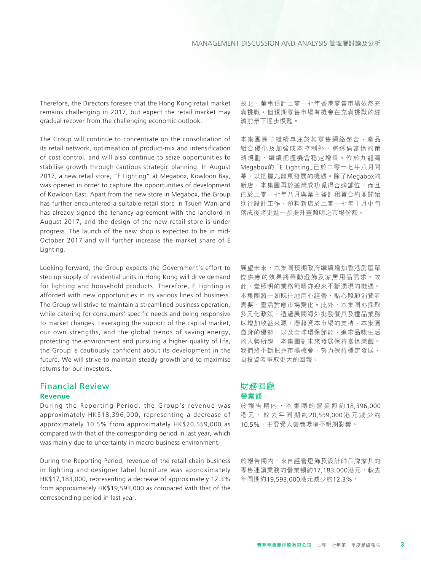Therefore, the Directors foresee that the Hong Kong retail market remains challenging in 2017, but expect the retail market may gradual recover from the challenging economic outlook.

The Group will continue to concentrate on the consolidation of its retail network, optimisation of product-mix and intensification of cost control, and will also continue to seize opportunities to stabilise growth through cautious strategic planning. In August 2017, a new retail store, "E Lighting" at Megabox, Kowloon Bay, was opened in order to capture the opportunities of development of Kowloon East. Apart from the new store in Megabox, the Group has further encountered a suitable retail store in Tsuen Wan and has already signed the tenancy agreement with the landlord in August 2017, and the design of the new retail store is under progress. The launch of the new shop is expected to be in mid-October 2017 and will further increase the market share of E Lighting.

Looking forward, the Group expects the Government's effort to step up supply of residential units in Hong Kong will drive demand for lighting and household products. Therefore, E Lighting is afforded with new opportunities in its various lines of business. The Group will strive to maintain a streamlined business operation, while catering for consumers' specific needs and being responsive to market changes. Leveraging the support of the capital market, our own strengths, and the global trends of saving energy, protecting the environment and pursuing a higher quality of life, the Group is cautiously confident about its development in the future. We will strive to maintain steady growth and to maximise returns for our investors.

#### Financial Review **Revenue**

During the Reporting Period, the Group's revenue was approximately HK\$18,396,000, representing a decrease of approximately 10.5% from approximately HK\$20,559,000 as compared with that of the corresponding period in last year, which was mainly due to uncertainty in macro business environment.

During the Reporting Period, revenue of the retail chain business in lighting and designer label furniture was approximately HK\$17,183,000, representing a decrease of approximately 12.3% from approximately HK\$19,593,000 as compared with that of the corresponding period in last year.

故此,董事預計二零一七年香港零售市場依然充 滿挑戰,但預期零售市場有機會在充滿挑戰的經 濟前景下逐步復甦。

本集團除了繼續專注於其零售網絡整合、產品 組合優化及加強成本控制外,將透過審慎的策 略規劃,繼續把握機會穩定增長。位於九龍灣 Megabox的「E Lighting」已於二零一七年八月開 幕,以把握九龍東發展的機遇。除了Megabox的 新店,本集團再於荃灣成功覓得合適舖位,而且 已於二零一七年八月與業主簽訂租賃合約並開始 進行設計工作,預料新店於二零一七年十月中旬 落成後將更進一步提升壹照明之市場份額。

展望未來,本集團預期政府繼續增加香港房屋單 位供應的效果將帶動燈飾及家居用品需求。故 此,壹照明的業務範疇亦迎來不斷湧現的機遇。 本集團將一如既往地用心經營,貼心照顧消費者 需要,靈活對應市場變化。此外,本集團亦採取 多元化政策,透過展開海外批發餐具及禮品業務 以增加收益來源。憑藉資本市場的支持、本集團 自身的優勢,以及全球環保節能、追求品味生活 的大勢所趨,本集團對未來發展保持審慎樂觀。 我們將不斷把握市場機會,努力保持穩定發展, 為投資者爭取更大的回報。

#### 財務回顧 **營業額**

於報告期內,本集團的營業額約 18,396,000 港元,較去年同期約 20,559,000 港元減少約 10.5%,主要受大營商環境不明朗影響。

於報告期內,來自經營燈飾及設計師品牌家具的 零售連鎖業務的營業額約17,183,000港元,較去 年同期約19,593,000港元減少約12.3%。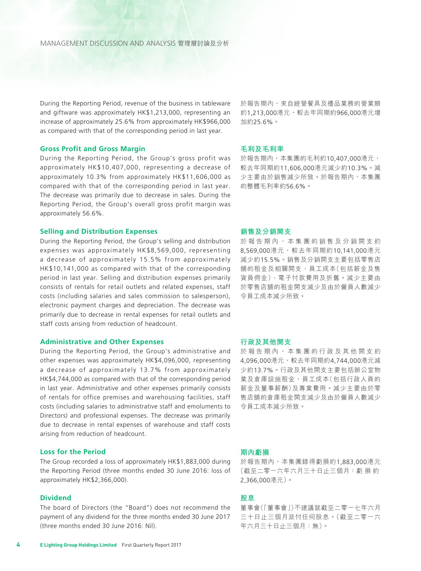During the Reporting Period, revenue of the business in tableware and giftware was approximately HK\$1,213,000, representing an increase of approximately 25.6% from approximately HK\$966,000 as compared with that of the corresponding period in last year.

#### **Gross Profit and Gross Margin**

During the Reporting Period, the Group's gross profit was approximately HK\$10,407,000, representing a decrease of approximately 10.3% from approximately HK\$11,606,000 as compared with that of the corresponding period in last year. The decrease was primarily due to decrease in sales. During the Reporting Period, the Group's overall gross profit margin was approximately 56.6%.

#### **Selling and Distribution Expenses**

During the Reporting Period, the Group's selling and distribution expenses was approximately HK\$8,569,000, representing a decrease of approximately 15.5% from approximately HK\$10,141,000 as compared with that of the corresponding period in last year. Selling and distribution expenses primarily consists of rentals for retail outlets and related expenses, staff costs (including salaries and sales commission to salesperson), electronic payment charges and depreciation. The decrease was primarily due to decrease in rental expenses for retail outlets and staff costs arising from reduction of headcount.

#### **Administrative and Other Expenses**

During the Reporting Period, the Group's administrative and other expenses was approximately HK\$4,096,000, representing a decrease of approximately 13.7% from approximately HK\$4,744,000 as compared with that of the corresponding period in last year. Administrative and other expenses primarily consists of rentals for office premises and warehousing facilities, staff costs (including salaries to administrative staff and emoluments to Directors) and professional expenses. The decrease was primarily due to decrease in rental expenses of warehouse and staff costs arising from reduction of headcount.

#### **Loss for the Period**

The Group recorded a loss of approximately HK\$1,883,000 during the Reporting Period (three months ended 30 June 2016: loss of approximately HK\$2,366,000).

#### **Dividend**

The board of Directors (the "Board") does not recommend the payment of any dividend for the three months ended 30 June 2017 (three months ended 30 June 2016: Nil).

於報告期內,來自經營餐具及禮品業務的營業額 約1,213,000港元,較去年同期約966,000港元增 加約25.6%。

#### **毛利及毛利率**

於報告期內,本集團的毛利約10,407,000港元, 較去年同期約11,606,000港元減少約10.3%。減 少主要由於銷售減少所致。於報告期內,本集團 的整體毛利率約56.6%。

#### **銷售及分銷開支**

於報告期內,本集團的銷售及分銷開支約 8,569,000港元,較去年同期約10,141,000港元 減少約15.5%。銷售及分銷開支主要包括零售店 舖的租金及相關開支、員工成本(包括薪金及售 貨員佣金)、電子付款費用及折舊。減少主要由 於零售店舖的租金開支減少及由於僱員人數減少 令員工成本減少所致。

#### **行政及其他開支**

於報告期內,本集團的行政及其他開支約 4,096,000港元,較去年同期約4,744,000港元減 少約13.7%。行政及其他開支主要包括辦公室物 業及倉庫設施租金,員工成本(包括行政人員的 薪金及董事薪酬)及專業費用。減少主要由於零 售店舖的倉庫租金開支減少及由於僱員人數減少 令員工成本減少所致。

#### **期內虧損**

於報告期內,本集團錄得虧損約1,883,000港元 (截至二零一六年六月三十日止三個月:虧 損 約 2,366,000港元)。

#### **股息**

董事會(「董事會」)不建議就截至二零一七年六月 三十日止三個月派付任何股息。(截至二零一六 年六月三十日止三個月:無)。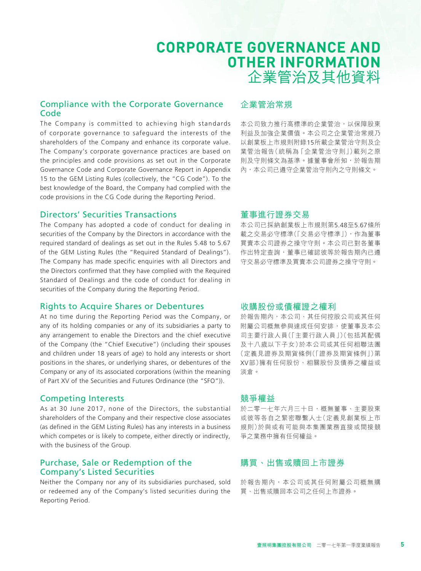# **CORPORATE GOVERNANCE AND OTHER INFORMATION** 企業管治及其他資料

# Compliance with the Corporate Governance Code

The Company is committed to achieving high standards of corporate governance to safeguard the interests of the shareholders of the Company and enhance its corporate value. The Company's corporate governance practices are based on the principles and code provisions as set out in the Corporate Governance Code and Corporate Governance Report in Appendix 15 to the GEM Listing Rules (collectively, the "CG Code"). To the best knowledge of the Board, the Company had complied with the code provisions in the CG Code during the Reporting Period.

#### Directors' Securities Transactions

The Company has adopted a code of conduct for dealing in securities of the Company by the Directors in accordance with the required standard of dealings as set out in the Rules 5.48 to 5.67 of the GEM Listing Rules (the "Required Standard of Dealings"). The Company has made specific enquiries with all Directors and the Directors confirmed that they have complied with the Required Standard of Dealings and the code of conduct for dealing in securities of the Company during the Reporting Period.

# Rights to Acquire Shares or Debentures

At no time during the Reporting Period was the Company, or any of its holding companies or any of its subsidiaries a party to any arrangement to enable the Directors and the chief executive of the Company (the "Chief Executive") (including their spouses and children under 18 years of age) to hold any interests or short positions in the shares, or underlying shares, or debentures of the Company or any of its associated corporations (within the meaning of Part XV of the Securities and Futures Ordinance (the "SFO")).

# Competing Interests

As at 30 June 2017, none of the Directors, the substantial shareholders of the Company and their respective close associates (as defined in the GEM Listing Rules) has any interests in a business which competes or is likely to compete, either directly or indirectly, with the business of the Group.

# Purchase, Sale or Redemption of the Company's Listed Securities

Neither the Company nor any of its subsidiaries purchased, sold or redeemed any of the Company's listed securities during the Reporting Period.

# 企業管治常規

本公司致力推行高標準的企業管治,以保障股東 利益及加強企業價值。本公司之企業管治常規乃 以創業板上市規則附錄15所載企業管治守則及企 業管治報告(統稱為「企業管治守則」)載列之原 則及守則條文為基準。據董事會所知,於報告期 內,本公司已遵守企業管治守則內之守則條文。

# 董事進行證券交易

本公司已採納創業板上市規則第5.48至5.67條所 載之交易必守標準(「交易必守標準」),作為董事 買賣本公司證券之操守守則。本公司已對各董事 作出特定查詢,董事已確認彼等於報告期內已遵 守交易必守標準及買賣本公司證券之操守守則。

### 收購股份或債權證之權利

於報告期內,本公司、其任何控股公司或其任何 附屬公司概無參與達成任何安排,使董事及本公 司主要行政人員(「主要行政人員」)(包括其配偶 及十八歲以下子女)於本公司或其任何相聯法團 (定義見證券及期貨條例(「證券及期貨條例」)第 XV部)擁有任何股份、相關股份及債券之權益或 淡倉。

# 競爭權益

於二零一七年六月三十日,概無董事、主要股東 或彼等各自之緊密聯繫人士(定義見創業板上市 規則)於與或有可能與本集團業務直接或間接競 爭之業務中擁有任何權益。

# 購買、出售或贖回上市證券

於報告期內,本公司或其任何附屬公司概無購 買、出售或贖回本公司之任何上市證券。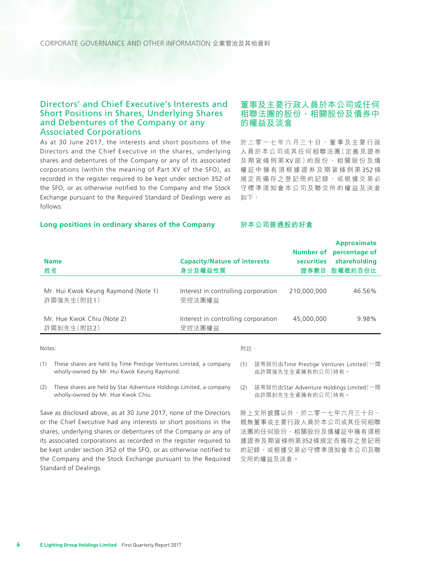CORPORATE GOVERNANCE AND OTHER INFORMATION 企業管治及其他資料

### Directors' and Chief Executive's Interests and Short Positions in Shares, Underlying Shares and Debentures of the Company or any Associated Corporations

As at 30 June 2017, the interests and short positions of the Directors and the Chief Executive in the shares, underlying shares and debentures of the Company or any of its associated corporations (within the meaning of Part XV of the SFO), as recorded in the register required to be kept under section 352 of the SFO, or as otherwise notified to the Company and the Stock Exchange pursuant to the Required Standard of Dealings were as follows:

# 董事及主要行政人員於本公司或任何 相聯法團的股份、相關股份及債券中 的權益及淡倉

於二零一七年六月三十日,董事及主要行政 人員於本公司或其任何相聯法團(定義見證券 及期貨條例第 XV 部 )的 股 份 、 相 關 股 份 及 債 權証中擁有須根據證券及期貨條例第 352 條 規定而備存之登記冊的記錄,或根據交易必 守標準須知會本公司及聯交所的權益及淡倉 如下:

#### **Long positions in ordinary shares of the Company**

#### **於本公司普通股的好倉**

| <b>Name</b><br>姓名                                 | <b>Capacity/Nature of interests</b><br>身分及權益性質 | Number of<br><b>securities</b><br>證券數目 | <b>Approximate</b><br>percentage of<br>shareholding<br>股權概約百份比 |
|---------------------------------------------------|------------------------------------------------|----------------------------------------|----------------------------------------------------------------|
| Mr. Hui Kwok Keung Raymond (Note 1)<br>許國強先生(附註1) | Interest in controlling corporation<br>受控法團權益  | 210.000.000                            | 46.56%                                                         |
| Mr. Hue Kwok Chiu (Note 2)<br>許國釗先生(附註2)          | Interest in controlling corporation<br>受控法團權益  | 45.000.000                             | 9.98%                                                          |
| Notes:                                            | 附註:                                            |                                        |                                                                |

Notes:

- (1) These shares are held by Time Prestige Ventures Limited, a company wholly-owned by Mr. Hui Kwok Keung Raymond.
- (2) These shares are held by Star Adventure Holdings Limited, a company wholly-owned by Mr. Hue Kwok Chiu.

Save as disclosed above, as at 30 June 2017, none of the Directors or the Chief Executive had any interests or short positions in the shares, underlying shares or debentures of the Company or any of its associated corporations as recorded in the register required to be kept under section 352 of the SFO, or as otherwise notified to the Company and the Stock Exchange pursuant to the Required Standard of Dealings.

除上文所披露以外,於二零一七年六月三十日, 概無董事或主要行政人員於本公司或其任何相聯 法團的任何股份、相關股份及債權証中擁有須根 據證券及期貨條例第352條規定而備存之登記冊 的記錄,或根據交易必守標準須知會本公司及聯 交所的權益及淡倉。

<sup>(1)</sup> 該等股份由Time Prestige Ventures Limited(一間 由許國強先生全資擁有的公司)持有。

<sup>(2)</sup> 該等股份由Star Adventure Holdings Limited(一間 由許國釗先生全資擁有的公司)持有。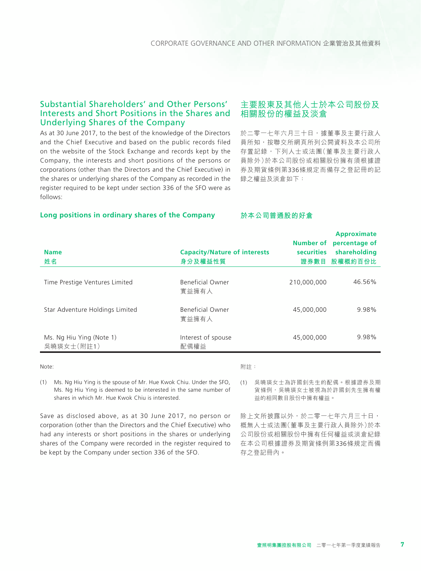# Substantial Shareholders' and Other Persons' Interests and Short Positions in the Shares and Underlying Shares of the Company

As at 30 June 2017, to the best of the knowledge of the Directors and the Chief Executive and based on the public records filed on the website of the Stock Exchange and records kept by the Company, the interests and short positions of the persons or corporations (other than the Directors and the Chief Executive) in the shares or underlying shares of the Company as recorded in the register required to be kept under section 336 of the SFO were as follows:

# 主要股東及其他人士於本公司股份及 相關股份的權益及淡倉

於二零一七年六月三十日,據董事及主要行政人 員所知,按聯交所網頁所列公開資料及本公司所 存置記錄,下列人士或法團(董事及主要行政人 員除外)於本公司股份或相關股份擁有須根據證 券及期貨條例第336條規定而備存之登記冊的記 錄之權益及淡倉如下:

#### **Long positions in ordinary shares of the Company**

#### **於本公司普通股的好倉**

| <b>Name</b><br>姓名                      | <b>Capacity/Nature of interests</b><br>身分及權益性質 | Number of<br><b>securities</b><br>證券數目 | <b>Approximate</b><br>percentage of<br>shareholding<br>股權概約百份比 |
|----------------------------------------|------------------------------------------------|----------------------------------------|----------------------------------------------------------------|
| Time Prestige Ventures Limited         | Beneficial Owner<br>實益擁有人                      | 210,000,000                            | 46.56%                                                         |
| Star Adventure Holdings Limited        | Beneficial Owner<br>實益擁有人                      | 45,000,000                             | 9.98%                                                          |
| Ms. Ng Hiu Ying (Note 1)<br>吳曉瑛女士(附註1) | Interest of spouse<br>配偶權益                     | 45,000,000                             | 9.98%                                                          |

Note:

#### 附註:

(1) Ms. Ng Hiu Ying is the spouse of Mr. Hue Kwok Chiu. Under the SFO, Ms. Ng Hiu Ying is deemed to be interested in the same number of shares in which Mr. Hue Kwok Chiu is interested.

Save as disclosed above, as at 30 June 2017, no person or corporation (other than the Directors and the Chief Executive) who had any interests or short positions in the shares or underlying shares of the Company were recorded in the register required to be kept by the Company under section 336 of the SFO.

益的相同數目股份中擁有權益。 除上文所披露以外,於二零一七年六月三十日, 概無人士或法團(董事及主要行政人員除外)於本

(1) 吳曉瑛女士為許國釗先生的配偶。根據證券及期 貨條例,吳曉瑛女士被視為於許國釗先生擁有權

公司股份或相關股份中擁有任何權益或淡倉紀錄 在本公司根據證券及期貨條例第336條規定而備 存之登記冊內。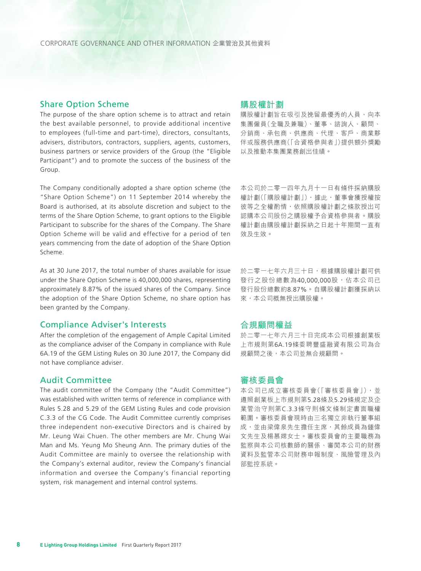#### Share Option Scheme

The purpose of the share option scheme is to attract and retain the best available personnel, to provide additional incentive to employees (full-time and part-time), directors, consultants, advisers, distributors, contractors, suppliers, agents, customers, business partners or service providers of the Group (the "Eligible Participant") and to promote the success of the business of the Group.

The Company conditionally adopted a share option scheme (the "Share Option Scheme") on 11 September 2014 whereby the Board is authorised, at its absolute discretion and subject to the terms of the Share Option Scheme, to grant options to the Eligible Participant to subscribe for the shares of the Company. The Share Option Scheme will be valid and effective for a period of ten years commencing from the date of adoption of the Share Option Scheme.

As at 30 June 2017, the total number of shares available for issue under the Share Option Scheme is 40,000,000 shares, representing approximately 8.87% of the issued shares of the Company. Since the adoption of the Share Option Scheme, no share option has been granted by the Company.

#### Compliance Adviser's Interests

After the completion of the engagement of Ample Capital Limited as the compliance adviser of the Company in compliance with Rule 6A.19 of the GEM Listing Rules on 30 June 2017, the Company did not have compliance adviser.

#### Audit Committee

The audit committee of the Company (the "Audit Committee") was established with written terms of reference in compliance with Rules 5.28 and 5.29 of the GEM Listing Rules and code provision C.3.3 of the CG Code. The Audit Committee currently comprises three independent non-executive Directors and is chaired by Mr. Leung Wai Chuen. The other members are Mr. Chung Wai Man and Ms. Yeung Mo Sheung Ann. The primary duties of the Audit Committee are mainly to oversee the relationship with the Company's external auditor, review the Company's financial information and oversee the Company's financial reporting system, risk management and internal control systems.

#### 購股權計劃

購股權計劃旨在吸引及挽留最優秀的人員、向本 集團僱員(全職及兼職)、董事、諮詢人、顧問、 分銷商、承包商、供應商、代理、客戶、商業夥 伴或服務供應商(「合資格參與者」)提供額外獎勵 以及推動本集團業務創出佳績。

本公司於二零一四年九月十一日有條件採納購股 權計劃(「購股權計劃」), 據此, 董事會獲授權按 彼等之全權酌情,依照購股權計劃之條款授出可 認購本公司股份之購股權予合資格參與者。購股 權計劃由購股權計劃採納之日起十年期間一直有 效及生效。

於二零一七年六月三十日,根據購股權計劃可供 發行之股份總數為40,000,000股,佔本公司已 發行股份總數約8.87%。自購股權計劃獲採納以 來,本公司概無授出購股權。

#### 合規顧問權益

於二零一七年六月三十日完成本公司根據創業板 上市規則第6A.19條委聘豐盛融資有限公司為合 規顧問之後,本公司並無合規顧問。

#### 審核委員會

本公司已成立審核委員會(「審核委員會」),並 遵照創業板上市規則第5.28條及5.29條規定及企 業管治守則第C.3.3條守則條文條制定書面職權 範圍。審核委員會現時由三名獨立非執行董事組 成,並由梁偉泉先生擔任主席,其餘成員為鍾偉 文先生及楊慕嫦女士。審核委員會的主要職務為 監察與本公司核數師的關係、審閱本公司的財務 資料及監管本公司財務申報制度、風險管理及內 部監控系統。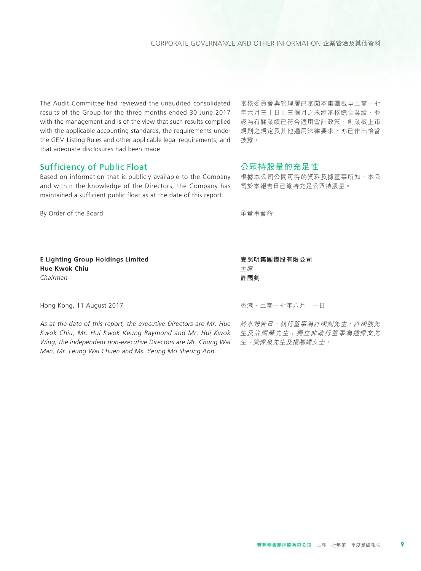The Audit Committee had reviewed the unaudited consolidated results of the Group for the three months ended 30 June 2017 with the management and is of the view that such results complied with the applicable accounting standards, the requirements under the GEM Listing Rules and other applicable legal requirements, and that adequate disclosures had been made.

### Sufficiency of Public Float

Based on information that is publicly available to the Company and within the knowledge of the Directors, the Company has maintained a sufficient public float as at the date of this report.

By Order of the Board

審核委員會與管理層已審閱本集團截至二零一七 年六月三十日止三個月之未經審核綜合業績,並 認為有關業績已符合適用會計政策、創業板上市 規則之規定及其他適用法律要求,亦已作出恰當 披露。

#### 公眾持股量的充足性

根據本公司公開可得的資料及據董事所知,本公 司於本報告日已維持充足公眾持股量。

承董事會命

**E Lighting Group Holdings Limited Hue Kwok Chiu** *Chairman*

Hong Kong, 11 August 2017

*As at the date of this report, the executive Directors are Mr. Hue Kwok Chiu, Mr. Hui Kwok Keung Raymond and Mr. Hui Kwok Wing; the independent non-executive Directors are Mr. Chung Wai Man, Mr. Leung Wai Chuen and Ms. Yeung Mo Sheung Ann.*

主席 **許國釗**

**壹照明集團控股有限公司**

香港,二零一七年八月十一日

於本報告日,執行董事為許國釗先生、許國強先 生及許國榮先生;獨立非執行董事為鍾偉文先 生、梁偉泉先生及楊慕嫦女士。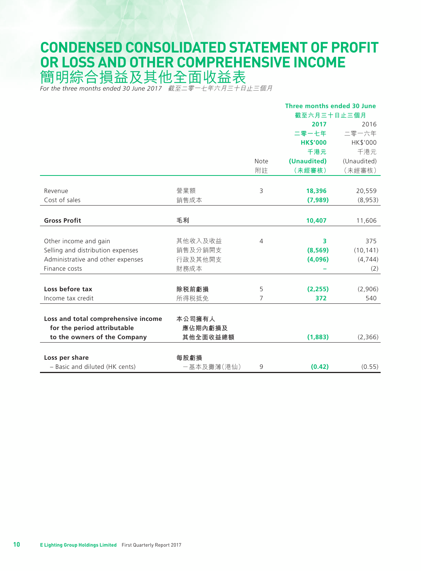# **CONDENSED CONSOLIDATED STATEMENT OF PROFIT OR LOSS AND OTHER COMPREHENSIVE INCOME**

簡明綜合損益及其他全面收益表

*For the three months ended 30 June 2017* 截至二零一七年六月三十日止三個月

|                                     |            | Three months ended 30 June |                 |             |
|-------------------------------------|------------|----------------------------|-----------------|-------------|
|                                     |            |                            | 截至六月三十日止三個月     |             |
|                                     |            |                            | 2017            | 2016        |
|                                     |            |                            | 二零一七年           | 二零一六年       |
|                                     |            |                            | <b>HK\$'000</b> | HK\$'000    |
|                                     |            |                            | 千港元             | 千港元         |
|                                     |            | Note                       | (Unaudited)     | (Unaudited) |
|                                     |            | 附註                         | (未經審核)          | (未經審核)      |
|                                     |            |                            |                 |             |
| Revenue                             | 營業額        | 3                          | 18,396          | 20,559      |
| Cost of sales                       | 銷售成本       |                            | (7,989)         | (8,953)     |
|                                     |            |                            |                 |             |
| <b>Gross Profit</b>                 | 毛利         |                            | 10,407          | 11,606      |
|                                     |            |                            |                 |             |
| Other income and gain               | 其他收入及收益    | 4                          | 3               | 375         |
| Selling and distribution expenses   | 銷售及分銷開支    |                            | (8, 569)        | (10, 141)   |
| Administrative and other expenses   | 行政及其他開支    |                            | (4,096)         | (4, 744)    |
| Finance costs                       | 財務成本       |                            |                 | (2)         |
|                                     |            |                            |                 |             |
| Loss before tax                     | 除税前虧損      | 5                          | (2, 255)        | (2,906)     |
| Income tax credit                   | 所得税抵免      | 7                          | 372             | 540         |
|                                     |            |                            |                 |             |
| Loss and total comprehensive income | 本公司擁有人     |                            |                 |             |
| for the period attributable         | 應佔期內虧損及    |                            |                 |             |
| to the owners of the Company        | 其他全面收益總額   |                            | (1,883)         | (2,366)     |
|                                     |            |                            |                 |             |
| Loss per share                      | 每股虧損       |                            |                 |             |
| - Basic and diluted (HK cents)      | -基本及攤薄(港仙) | 9                          | (0.42)          | (0.55)      |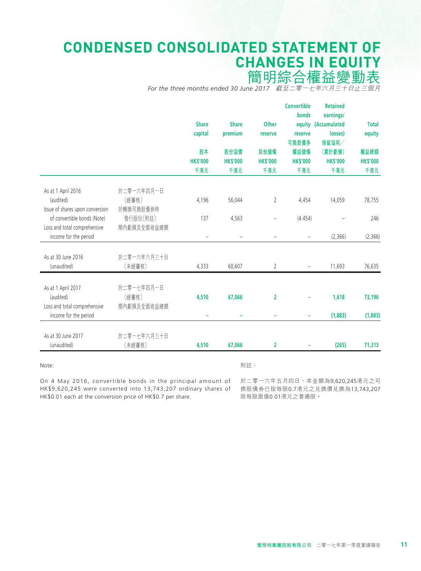# **CONDENSED CONSOLIDATED STATEMENT OF CHANGES IN EQUITY**

簡明綜合權益變動表

*For the three months ended 30 June 2017* 截至二零一七年六月三十日止三個月

|                                                                    |                                  | <b>Share</b><br>capital<br>股本<br><b>HK\$'000</b><br>千港元 | <b>Share</b><br>premium<br>股份溢價<br><b>HK\$'000</b><br>千港元 | <b>Other</b><br>reserve<br>其他儲備<br><b>HK\$'000</b><br>千港元 | <b>Convertible</b><br>bonds<br>reserve<br>可換股債券<br>權益儲備<br><b>HK\$'000</b><br>千港元 | <b>Retained</b><br>earnings/<br>equity (Accumulated<br>losses)<br>保留溢利/<br>(累計虧損)<br><b>HK\$'000</b><br>千港元 | <b>Total</b><br>equity<br>權益總額<br><b>HK\$'000</b><br>千港元 |
|--------------------------------------------------------------------|----------------------------------|---------------------------------------------------------|-----------------------------------------------------------|-----------------------------------------------------------|-----------------------------------------------------------------------------------|-------------------------------------------------------------------------------------------------------------|----------------------------------------------------------|
|                                                                    |                                  |                                                         |                                                           |                                                           |                                                                                   |                                                                                                             |                                                          |
| As at 1 April 2016<br>(audited)<br>Issue of shares upon conversion | 於二零一六年四月一日<br>(經審核)<br>於轉換可換股債券時 | 4,196                                                   | 56,044                                                    | 2                                                         | 4,454                                                                             | 14,059                                                                                                      | 78,755                                                   |
| of convertible bonds (Note)                                        | 發行股份(附註)                         | 137                                                     | 4,563                                                     | $\overline{\phantom{0}}$                                  | (4.454)                                                                           |                                                                                                             | 246                                                      |
| Loss and total comprehensive<br>income for the period              | 期內虧損及全面收益總額                      | $\overline{\phantom{a}}$                                | $\qquad \qquad -$                                         | $\overline{\phantom{a}}$                                  | $\qquad \qquad -$                                                                 | (2,366)                                                                                                     | (2,366)                                                  |
| As at 30 June 2016<br>(unaudited)                                  | 於二零一六年六月三十日<br>(未經審核)            | 4,333                                                   | 60,607                                                    | 2                                                         |                                                                                   | 11,693                                                                                                      | 76,635                                                   |
| As at 1 April 2017<br>(audited)                                    | 於二零一七年四月一日<br>(經審核)              | 4,510                                                   | 67,066                                                    | $\overline{2}$                                            |                                                                                   | 1,618                                                                                                       | 73,196                                                   |
| Loss and total comprehensive<br>income for the period              | 期內虧損及全面收益總額                      |                                                         |                                                           |                                                           | ۰                                                                                 | (1,883)                                                                                                     | (1,883)                                                  |
| As at 30 June 2017                                                 | 於二零一七年六月三十日                      |                                                         |                                                           |                                                           |                                                                                   |                                                                                                             |                                                          |
| (unaudited)                                                        | (未經審核)                           | 4,510                                                   | 67,066                                                    | 2                                                         |                                                                                   | (265)                                                                                                       | 71,313                                                   |

Note:

附註:

On 4 May 2016, convertible bonds in the principal amount of HK\$9,620,245 were converted into 13,743,207 ordinary shares of HK\$0.01 each at the conversion price of HK\$0.7 per share.

於二零一六年五月四日,本金額為9,620,245港元之可 換股債劵已按每股0.7港元之兌換價兌換為13,743,207 股每股面值0.01港元之普通股。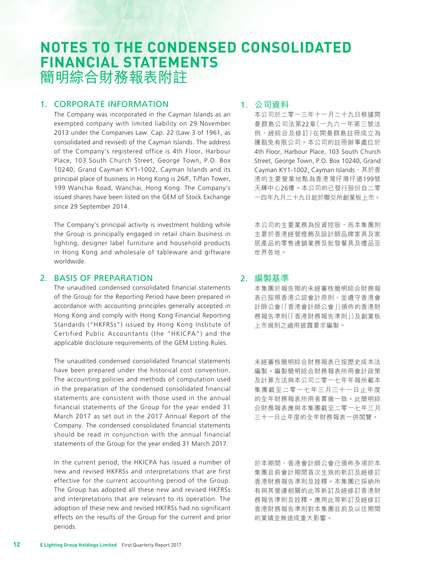# **NOTES TO THE CONDENSED CONSOLIDATED FINANCIAL STATEMENTS** 簡明綜合財務報表附註

# 1. CORPORATE INFORMATION

The Company was incorporated in the Cayman Islands as an exempted company with limited liability on 29 November 2013 under the Companies Law. Cap. 22 (Law 3 of 1961, as consolidated and revised) of the Cayman Islands. The address of the Company's registered office is 4th Floor, Harbour Place, 103 South Church Street, George Town, P.O. Box 10240, Grand Cayman KY1-1002, Cayman Islands and its principal place of business in Hong Kong is 26/F, Tiffan Tower, 199 Wanchai Road, Wanchai, Hong Kong. The Company's issued shares have been listed on the GEM of Stock Exchange since 29 September 2014.

The Company's principal activity is investment holding while the Group is principally engaged in retail chain business in lighting, designer label furniture and household products in Hong Kong and wholesale of tableware and giftware worldwide.

### 2. BASIS OF PREPARATION

The unaudited condensed consolidated financial statements of the Group for the Reporting Period have been prepared in accordance with accounting principles generally accepted in Hong Kong and comply with Hong Kong Financial Reporting Standards ("HKFRSs") issued by Hong Kong Institute of Certified Public Accountants (the "HKICPA") and the applicable disclosure requirements of the GEM Listing Rules.

The unaudited condensed consolidated financial statements have been prepared under the historical cost convention. The accounting policies and methods of computation used in the preparation of the condensed consolidated financial statements are consistent with those used in the annual financial statements of the Group for the year ended 31 March 2017 as set out in the 2017 Annual Report of the Company. The condensed consolidated financial statements should be read in conjunction with the annual financial statements of the Group for the year ended 31 March 2017.

In the current period, the HKICPA has issued a number of new and revised HKFRSs and interpretations that are first effective for the current accounting period of the Group. The Group has adopted all these new and revised HKFRSs and interpretations that are relevant to its operation. The adoption of these new and revised HKFRSs had no significant effects on the results of the Group for the current and prior periods.

# 1. 公司資料

本公司於二零一三年十一月二十九日根據開 曼群島公司法第22章(一九六一年第三號法 例,經綜合及修訂)在開曼群島註冊成立為 獲豁免有限公司。本公司的註冊辦事處位於 4th Floor, Harbour Place, 103 South Church Street, George Town, P.O. Box 10240, Grand Cayman KY1-1002, Cayman Islands, 其於香 港的主要營業地點為香港灣仔灣仔道199號 天輝中心26樓。本公司的已發行股份自二零 一四年九月二十九日起於聯交所創業板上市。

本公司的主要業務為投資控股,而本集團則 主要於香港經營燈飾及設計師品牌家具及家 居產品的零售連鎖業務及批發餐具及禮品至 世界各地。

# 2. 編製基準

本集團於報告期的未經審核簡明綜合財務報 表已按照香港公認會計原則,並遵守香港會 計師公會(「香港會計師公會」)頒佈的香港財 務報告準則(「香港財務報告準則」)及創業板 上市規則之適用披露要求編製。

未經審核簡明綜合財務報表已按歷史成本法 編製。編製簡明綜合財務報表所用會計政策 及計算方法與本公司二零一七年年報所載本 集團截至二零一七年三月三十一日止年度 的全年財務報表所用者貫徹一致。此簡明綜 合財務報表應與本集團截至二零一七年三月 三十一日止年度的全年財務報表一併閱覽。

於本期間,香港會計師公會已頒佈多項於本 集團目前會計期間首次生效的新訂及經修訂 香港財務報告準則及詮釋。本集團已採納所 有與其營運相關的此等新訂及經修訂香港財 務報告準則及詮釋。應用此等新訂及經修訂 香港財務報告準則對本集團目前及以往期間 的業績並無造成重大影響。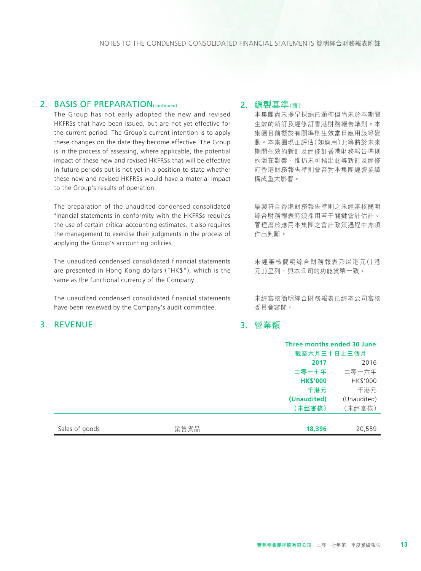#### 2. BASIS OF PREPARATION(continued)

The Group has not early adopted the new and revised HKFRSs that have been issued, but are not yet effective for the current period. The Group's current intention is to apply these changes on the date they become effective. The Group is in the process of assessing, where applicable, the potential impact of these new and revised HKFRSs that will be effective in future periods but is not yet in a position to state whether these new and revised HKFRSs would have a material impact to the Group's results of operation.

The preparation of the unaudited condensed consolidated financial statements in conformity with the HKFRSs requires the use of certain critical accounting estimates. It also requires the management to exercise their judgments in the process of applying the Group's accounting policies.

The unaudited condensed consolidated financial statements are presented in Hong Kong dollars ("HK\$"), which is the same as the functional currency of the Company.

The unaudited condensed consolidated financial statements have been reviewed by the Company's audit committee.

# 3. REVENUE

### 2. 編製基準(續)

本集團尚未提早採納已頒佈但尚未於本期間 生效的新訂及經修訂香港財務報告準則。本 集團目前擬於有關準則生效當日應用該等變 動。本集團現正評估(如適用)此等將於未來 期間生效的新訂及經修訂香港財務報告準則 的潛在影響,惟仍未可指出此等新訂及經修 訂香港財務報告準則會否對本集團經營業績 構成重大影響。

編製符合香港財務報告準則之未經審核簡明 綜合財務報表時須採用若干關鍵會計估計。 管理層於應用本集團之會計政策過程中亦須 作出判斷。

未經審核簡明綜合財務報表乃以港元(「港 元」)呈列,與本公司的功能貨幣一致。

未經審核簡明綜合財務報表已經本公司審核 委員會審閱。

# 3. 營業額

|                |      |                 | Three months ended 30 June<br>截至六月三十日止三個月 |  |
|----------------|------|-----------------|-------------------------------------------|--|
|                |      | 2017            | 2016                                      |  |
|                |      | 二零一七年           | 二零一六年                                     |  |
|                |      | <b>HK\$'000</b> | HK\$'000                                  |  |
|                |      | 千港元             | 千港元                                       |  |
|                |      | (Unaudited)     | (Unaudited)                               |  |
|                |      | (未經審核)          | (未經審核)                                    |  |
|                |      |                 |                                           |  |
| Sales of goods | 銷售貨品 | 18,396          | 20,559                                    |  |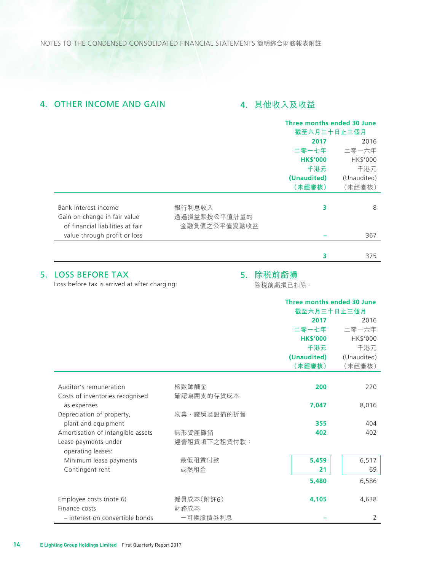NOTES TO THE CONDENSED CONSOLIDATED FINANCIAL STATEMENTS 簡明綜合財務報表附註

# 4. OTHER INCOME AND GAIN **4. 其他收入及收益**

|                                  |              | Three months ended 30 June |             |
|----------------------------------|--------------|----------------------------|-------------|
|                                  |              | 截至六月三十日止三個月                |             |
|                                  |              | 2016<br>2017               |             |
|                                  |              | 二零一七年                      | 二零一六年       |
|                                  |              | <b>HK\$'000</b>            | HK\$'000    |
|                                  |              | 千港元                        | 千港元         |
|                                  |              | (Unaudited)                | (Unaudited) |
|                                  |              | (未經審核)                     | (未經審核)      |
| Bank interest income             | 銀行利息收入       | 3                          | 8           |
| Gain on change in fair value     | 透過損益賬按公平值計量的 |                            |             |
| of financial liabilities at fair | 金融負債之公平值變動收益 |                            |             |
| value through profit or loss     |              |                            | 367         |
|                                  |              |                            |             |
|                                  |              | 3                          | 375         |
|                                  |              |                            |             |

# 5. LOSS BEFORE TAX

# 5. 除稅前虧損

Loss before tax is arrived at after charging:

除稅前虧損已扣除:

|                                                |                   | Three months ended 30 June |             |
|------------------------------------------------|-------------------|----------------------------|-------------|
|                                                |                   | 截至六月三十日止三個月                |             |
|                                                |                   | 2017                       | 2016        |
|                                                |                   | 二零一七年                      | 二零一六年       |
|                                                |                   | <b>HK\$'000</b>            | HK\$'000    |
|                                                |                   | 千港元                        | 千港元         |
|                                                |                   | (Unaudited)                | (Unaudited) |
|                                                |                   | (未經審核)                     | (未經審核)      |
| Auditor's remuneration                         | 核數師酬金             | 200                        | 220         |
| Costs of inventories recognised<br>as expenses | 確認為開支的存貨成本        | 7,047                      | 8,016       |
| Depreciation of property,                      | 物業、廠房及設備的折舊       |                            |             |
| plant and equipment                            |                   | 355                        | 404         |
| Amortisation of intangible assets              | 無形資產攤銷            | 402                        | 402         |
| Lease payments under<br>operating leases:      | 經營租賃項下之租賃付款:      |                            |             |
| Minimum lease payments                         | 最低租賃付款            | 5,459                      | 6,517       |
| Contingent rent                                | 或然租金              | 21                         | 69          |
|                                                |                   | 5,480                      | 6,586       |
| Employee costs (note 6)<br>Finance costs       | 僱員成本(附註6)<br>財務成本 | 4,105                      | 4,638       |
| - interest on convertible bonds                | 一可換股債券利息          |                            | 2           |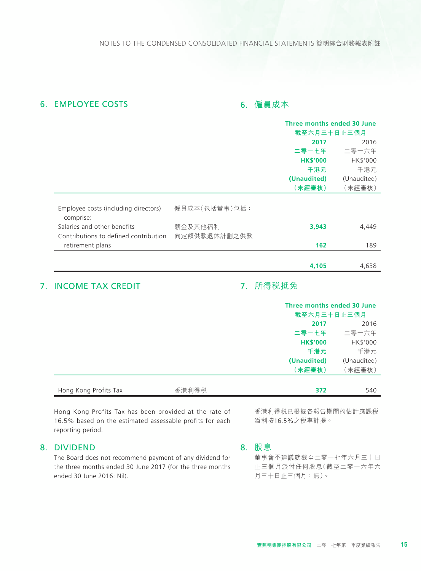### **6. EMPLOYEE COSTS** 2008年10月20日 10月20日 10月20日 10月20日 10月20日 10月20日 10月20日 10月20日 10月20日 10月20日 10月20日 10月20日 10月20日 10月20日 10月20日 10月20日 10月20日 10月20日 10月20日 10月20日 10月20日 10月20日 10月20日 10月20日 10月20日 10月20日 10月20日 10月20日

|                                                   |               | Three months ended 30 June |             |
|---------------------------------------------------|---------------|----------------------------|-------------|
|                                                   |               | 截至六月三十日止三個月                |             |
|                                                   |               | 2016<br>2017               |             |
|                                                   |               | 二零一七年                      | 二零一六年       |
|                                                   |               | <b>HK\$'000</b>            | HK\$'000    |
|                                                   |               | 千港元                        | 千港元         |
|                                                   |               | (Unaudited)                | (Unaudited) |
|                                                   |               | (未經審核)                     | (未經審核)      |
|                                                   |               |                            |             |
| Employee costs (including directors)<br>comprise: | 僱員成本(包括董事)包括: |                            |             |
| Salaries and other benefits                       | 薪金及其他福利       | 3,943                      | 4,449       |
| Contributions to defined contribution             | 向定額供款退休計劃之供款  |                            |             |
| retirement plans                                  |               | 162                        | 189         |
|                                                   |               |                            |             |
|                                                   |               | 4,105                      | 4,638       |
|                                                   |               |                            |             |

# 7. INCOME TAX CREDIT

# 7. 所得稅抵免

|                       |       | Three months ended 30 June<br>截至六月三十日止三個月 |             |
|-----------------------|-------|-------------------------------------------|-------------|
|                       |       | 2017                                      | 2016        |
|                       |       | 二零一七年                                     | 二零一六年       |
|                       |       | <b>HK\$'000</b>                           | HK\$'000    |
|                       |       | 千港元                                       | 千港元         |
|                       |       | (Unaudited)                               | (Unaudited) |
|                       |       | (未經審核)                                    | (未經審核)      |
|                       |       |                                           |             |
| Hong Kong Profits Tax | 香港利得税 | 372                                       | 540         |

Hong Kong Profits Tax has been provided at the rate of 16.5% based on the estimated assessable profits for each reporting period.

#### 8. DIVIDEND

The Board does not recommend payment of any dividend for the three months ended 30 June 2017 (for the three months ended 30 June 2016: Nil).

香港利得稅已根據各報告期間的估計應課稅 溢利按16.5%之稅率計提。

8. 股息

董事會不建議就截至二零一七年六月三十日 止三個月派付任何股息(截至二零一六年六 月三十日止三個月:無)。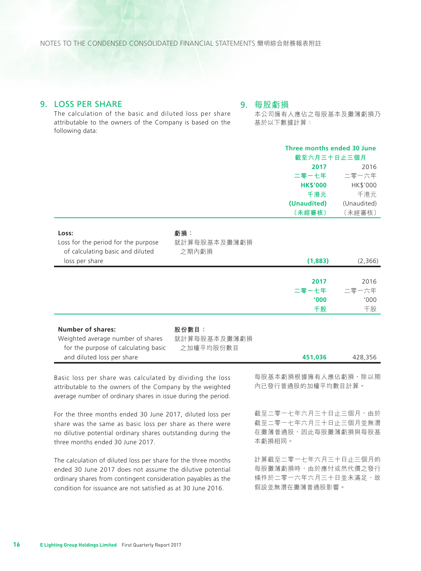NOTES TO THE CONDENSED CONSOLIDATED FINANCIAL STATEMENTS 簡明綜合財務報表附註

### 9. LOSS PER SHARE

#### 9. 每股虧損

The calculation of the basic and diluted loss per share attributable to the owners of the Company is based on the following data:

本公司擁有人應佔之每股基本及攤薄虧損乃 基於以下數據計算:

|                                                                                                                                                                                        |                                    | Three months ended 30 June<br>截至六月三十日止三個月 |             |
|----------------------------------------------------------------------------------------------------------------------------------------------------------------------------------------|------------------------------------|-------------------------------------------|-------------|
|                                                                                                                                                                                        |                                    | 2017                                      | 2016        |
|                                                                                                                                                                                        |                                    | 二零一七年                                     | 二零一六年       |
|                                                                                                                                                                                        |                                    | <b>HK\$'000</b>                           | HK\$'000    |
|                                                                                                                                                                                        |                                    | 千港元                                       | 千港元         |
|                                                                                                                                                                                        |                                    | (Unaudited)                               | (Unaudited) |
|                                                                                                                                                                                        |                                    | (未經審核)                                    | (未經審核)      |
| Loss:<br>Loss for the period for the purpose<br>of calculating basic and diluted                                                                                                       | 虧損:<br>就計算每股基本及攤薄虧損<br>之期內虧損       |                                           |             |
| loss per share                                                                                                                                                                         |                                    | (1,883)                                   | (2,366)     |
|                                                                                                                                                                                        |                                    |                                           | 2016        |
|                                                                                                                                                                                        |                                    | 2017                                      | 二零一六年       |
|                                                                                                                                                                                        |                                    | 二零一七年<br>'000                             | '000        |
|                                                                                                                                                                                        |                                    | 千股                                        | 千股          |
|                                                                                                                                                                                        |                                    |                                           |             |
| <b>Number of shares:</b><br>Weighted average number of shares<br>for the purpose of calculating basic                                                                                  | 股份數目:<br>就計算每股基本及攤薄虧損<br>之加權平均股份數目 |                                           |             |
| and diluted loss per share                                                                                                                                                             |                                    | 451,036                                   | 428,356     |
| Basic loss per share was calculated by dividing the loss<br>attributable to the owners of the Company by the weighted<br>average number of ordinary shares in issue during the period. |                                    | 每股基本虧損根據擁有人應佔虧損,除以期<br>內已發行普通股的加權平均數目計算。  |             |

For the three months ended 30 June 2017, diluted loss per share was the same as basic loss per share as there were no dilutive potential ordinary shares outstanding during the three months ended 30 June 2017.

The calculation of diluted loss per share for the three months ended 30 June 2017 does not assume the dilutive potential ordinary shares from contingent consideration payables as the condition for issuance are not satisfied as at 30 June 2016.

截至二零一七年六月三十日止三個月,由於 截至二零一七年六月三十日止三個月並無潛 在攤薄普通股,因此每股攤薄虧損與每股基 本虧損相同。

計算截至二零一七年六月三十日止三個月的 每股攤薄虧損時,由於應付或然代價之發行 條件於二零一六年六月三十日並未滿足,故 假設並無潛在攤薄普通股影響。